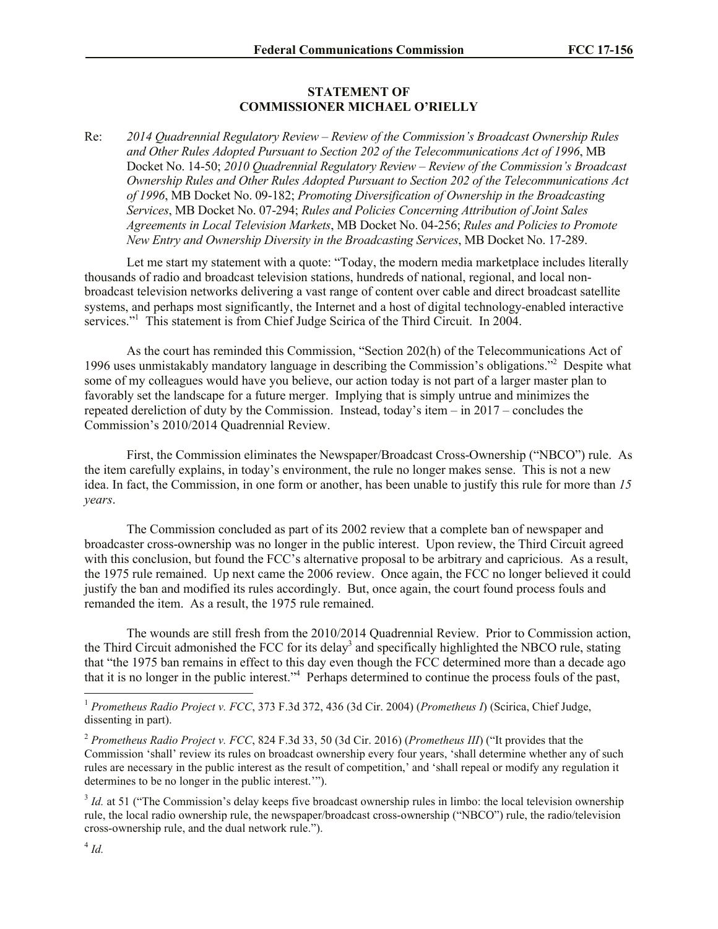## **STATEMENT OF COMMISSIONER MICHAEL O'RIELLY**

Re: *2014 Quadrennial Regulatory Review – Review of the Commission's Broadcast Ownership Rules and Other Rules Adopted Pursuant to Section 202 of the Telecommunications Act of 1996*, MB Docket No. 14-50; *2010 Quadrennial Regulatory Review – Review of the Commission's Broadcast Ownership Rules and Other Rules Adopted Pursuant to Section 202 of the Telecommunications Act of 1996*, MB Docket No. 09-182; *Promoting Diversification of Ownership in the Broadcasting Services*, MB Docket No. 07-294; *Rules and Policies Concerning Attribution of Joint Sales Agreements in Local Television Markets*, MB Docket No. 04-256; *Rules and Policies to Promote New Entry and Ownership Diversity in the Broadcasting Services*, MB Docket No. 17-289.

Let me start my statement with a quote: "Today, the modern media marketplace includes literally thousands of radio and broadcast television stations, hundreds of national, regional, and local nonbroadcast television networks delivering a vast range of content over cable and direct broadcast satellite systems, and perhaps most significantly, the Internet and a host of digital technology-enabled interactive services."<sup>1</sup> This statement is from Chief Judge Scirica of the Third Circuit. In 2004.

As the court has reminded this Commission, "Section 202(h) of the Telecommunications Act of 1996 uses unmistakably mandatory language in describing the Commission's obligations."<sup>2</sup> Despite what some of my colleagues would have you believe, our action today is not part of a larger master plan to favorably set the landscape for a future merger. Implying that is simply untrue and minimizes the repeated dereliction of duty by the Commission. Instead, today's item – in 2017 – concludes the Commission's 2010/2014 Quadrennial Review.

First, the Commission eliminates the Newspaper/Broadcast Cross-Ownership ("NBCO") rule. As the item carefully explains, in today's environment, the rule no longer makes sense. This is not a new idea. In fact, the Commission, in one form or another, has been unable to justify this rule for more than *15 years*.

The Commission concluded as part of its 2002 review that a complete ban of newspaper and broadcaster cross-ownership was no longer in the public interest. Upon review, the Third Circuit agreed with this conclusion, but found the FCC's alternative proposal to be arbitrary and capricious. As a result, the 1975 rule remained. Up next came the 2006 review. Once again, the FCC no longer believed it could justify the ban and modified its rules accordingly. But, once again, the court found process fouls and remanded the item. As a result, the 1975 rule remained.

The wounds are still fresh from the 2010/2014 Quadrennial Review. Prior to Commission action, the Third Circuit admonished the FCC for its delay<sup>3</sup> and specifically highlighted the NBCO rule, stating that "the 1975 ban remains in effect to this day even though the FCC determined more than a decade ago that it is no longer in the public interest."<sup>4</sup> Perhaps determined to continue the process fouls of the past,

l

<sup>1</sup> *Prometheus Radio Project v. FCC*, 373 F.3d 372, 436 (3d Cir. 2004) (*Prometheus I*) (Scirica, Chief Judge, dissenting in part).

<sup>2</sup> *Prometheus Radio Project v. FCC*, 824 F.3d 33, 50 (3d Cir. 2016) (*Prometheus III*) ("It provides that the Commission 'shall' review its rules on broadcast ownership every four years, 'shall determine whether any of such rules are necessary in the public interest as the result of competition,' and 'shall repeal or modify any regulation it determines to be no longer in the public interest.'").

<sup>&</sup>lt;sup>3</sup> *Id.* at 51 ("The Commission's delay keeps five broadcast ownership rules in limbo: the local television ownership rule, the local radio ownership rule, the newspaper/broadcast cross-ownership ("NBCO") rule, the radio/television cross-ownership rule, and the dual network rule.").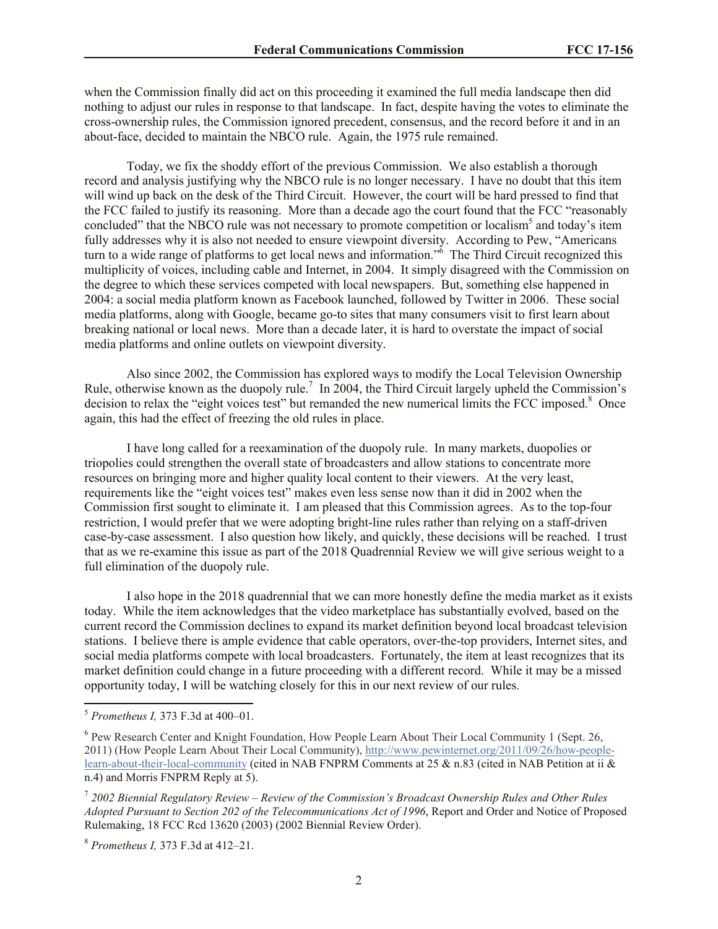when the Commission finally did act on this proceeding it examined the full media landscape then did nothing to adjust our rules in response to that landscape. In fact, despite having the votes to eliminate the cross-ownership rules, the Commission ignored precedent, consensus, and the record before it and in an about-face, decided to maintain the NBCO rule. Again, the 1975 rule remained.

Today, we fix the shoddy effort of the previous Commission. We also establish a thorough record and analysis justifying why the NBCO rule is no longer necessary. I have no doubt that this item will wind up back on the desk of the Third Circuit. However, the court will be hard pressed to find that the FCC failed to justify its reasoning. More than a decade ago the court found that the FCC "reasonably concluded" that the NBCO rule was not necessary to promote competition or localism<sup>5</sup> and today's item fully addresses why it is also not needed to ensure viewpoint diversity. According to Pew, "Americans turn to a wide range of platforms to get local news and information."<sup>6</sup> The Third Circuit recognized this multiplicity of voices, including cable and Internet, in 2004. It simply disagreed with the Commission on the degree to which these services competed with local newspapers. But, something else happened in 2004: a social media platform known as Facebook launched, followed by Twitter in 2006. These social media platforms, along with Google, became go-to sites that many consumers visit to first learn about breaking national or local news. More than a decade later, it is hard to overstate the impact of social media platforms and online outlets on viewpoint diversity.

Also since 2002, the Commission has explored ways to modify the Local Television Ownership Rule, otherwise known as the duopoly rule.<sup>7</sup> In 2004, the Third Circuit largely upheld the Commission's decision to relax the "eight voices test" but remanded the new numerical limits the FCC imposed.<sup>8</sup> Once again, this had the effect of freezing the old rules in place.

I have long called for a reexamination of the duopoly rule. In many markets, duopolies or triopolies could strengthen the overall state of broadcasters and allow stations to concentrate more resources on bringing more and higher quality local content to their viewers. At the very least, requirements like the "eight voices test" makes even less sense now than it did in 2002 when the Commission first sought to eliminate it. I am pleased that this Commission agrees. As to the top-four restriction, I would prefer that we were adopting bright-line rules rather than relying on a staff-driven case-by-case assessment. I also question how likely, and quickly, these decisions will be reached. I trust that as we re-examine this issue as part of the 2018 Quadrennial Review we will give serious weight to a full elimination of the duopoly rule.

I also hope in the 2018 quadrennial that we can more honestly define the media market as it exists today. While the item acknowledges that the video marketplace has substantially evolved, based on the current record the Commission declines to expand its market definition beyond local broadcast television stations. I believe there is ample evidence that cable operators, over-the-top providers, Internet sites, and social media platforms compete with local broadcasters. Fortunately, the item at least recognizes that its market definition could change in a future proceeding with a different record. While it may be a missed opportunity today, I will be watching closely for this in our next review of our rules.

l

<sup>8</sup> *Prometheus I,* 373 F.3d at 412–21.

<sup>5</sup> *Prometheus I,* 373 F.3d at 400–01.

<sup>&</sup>lt;sup>6</sup> Pew Research Center and Knight Foundation, How People Learn About Their Local Community 1 (Sept. 26, 2011) (How People Learn About Their Local Community), http://www.pewinternet.org/2011/09/26/how-peoplelearn-about-their-local-community (cited in NAB FNPRM Comments at 25  $\&$  n.83 (cited in NAB Petition at ii  $\&$ n.4) and Morris FNPRM Reply at 5).

<sup>7</sup> *2002 Biennial Regulatory Review – Review of the Commission's Broadcast Ownership Rules and Other Rules Adopted Pursuant to Section 202 of the Telecommunications Act of 1996*, Report and Order and Notice of Proposed Rulemaking, 18 FCC Rcd 13620 (2003) (2002 Biennial Review Order).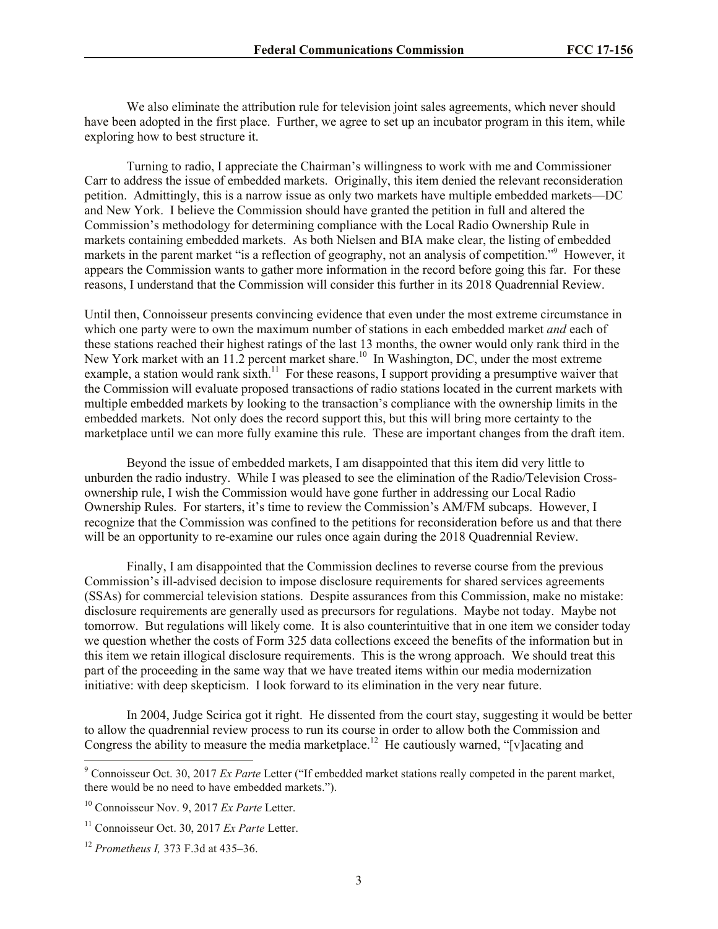We also eliminate the attribution rule for television joint sales agreements, which never should have been adopted in the first place. Further, we agree to set up an incubator program in this item, while exploring how to best structure it.

Turning to radio, I appreciate the Chairman's willingness to work with me and Commissioner Carr to address the issue of embedded markets. Originally, this item denied the relevant reconsideration petition. Admittingly, this is a narrow issue as only two markets have multiple embedded markets—DC and New York. I believe the Commission should have granted the petition in full and altered the Commission's methodology for determining compliance with the Local Radio Ownership Rule in markets containing embedded markets. As both Nielsen and BIA make clear, the listing of embedded markets in the parent market "is a reflection of geography, not an analysis of competition."<sup>9</sup> However, it appears the Commission wants to gather more information in the record before going this far. For these reasons, I understand that the Commission will consider this further in its 2018 Quadrennial Review.

Until then, Connoisseur presents convincing evidence that even under the most extreme circumstance in which one party were to own the maximum number of stations in each embedded market *and* each of these stations reached their highest ratings of the last 13 months, the owner would only rank third in the New York market with an 11.2 percent market share.<sup>10</sup> In Washington, DC, under the most extreme example, a station would rank sixth.<sup>11</sup> For these reasons, I support providing a presumptive waiver that the Commission will evaluate proposed transactions of radio stations located in the current markets with multiple embedded markets by looking to the transaction's compliance with the ownership limits in the embedded markets. Not only does the record support this, but this will bring more certainty to the marketplace until we can more fully examine this rule. These are important changes from the draft item.

Beyond the issue of embedded markets, I am disappointed that this item did very little to unburden the radio industry. While I was pleased to see the elimination of the Radio/Television Crossownership rule, I wish the Commission would have gone further in addressing our Local Radio Ownership Rules. For starters, it's time to review the Commission's AM/FM subcaps. However, I recognize that the Commission was confined to the petitions for reconsideration before us and that there will be an opportunity to re-examine our rules once again during the 2018 Quadrennial Review.

Finally, I am disappointed that the Commission declines to reverse course from the previous Commission's ill-advised decision to impose disclosure requirements for shared services agreements (SSAs) for commercial television stations. Despite assurances from this Commission, make no mistake: disclosure requirements are generally used as precursors for regulations. Maybe not today. Maybe not tomorrow. But regulations will likely come. It is also counterintuitive that in one item we consider today we question whether the costs of Form 325 data collections exceed the benefits of the information but in this item we retain illogical disclosure requirements. This is the wrong approach. We should treat this part of the proceeding in the same way that we have treated items within our media modernization initiative: with deep skepticism. I look forward to its elimination in the very near future.

In 2004, Judge Scirica got it right. He dissented from the court stay, suggesting it would be better to allow the quadrennial review process to run its course in order to allow both the Commission and Congress the ability to measure the media marketplace.<sup>12</sup> He cautiously warned, "[v]acating and

 $\overline{a}$ 

<sup>9</sup> Connoisseur Oct. 30, 2017 *Ex Parte* Letter ("If embedded market stations really competed in the parent market, there would be no need to have embedded markets.").

<sup>10</sup> Connoisseur Nov. 9, 2017 *Ex Parte* Letter.

<sup>11</sup> Connoisseur Oct. 30, 2017 *Ex Parte* Letter.

<sup>12</sup> *Prometheus I,* 373 F.3d at 435–36.